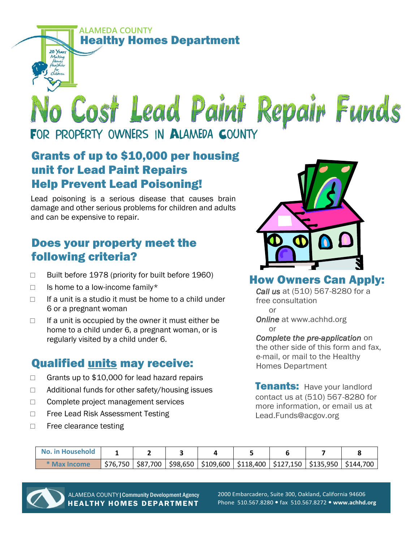**ALAMEDA COUNTY**  Healthy Homes Department

# No Cost Lead Paint Repair Funds FOR PROPERTY OWNERS IN ALAMEDA COUNTY

### Grants of up to \$10,000 per housing unit for Lead Paint Repairs Help Prevent Lead Poisoning!

Lead poisoning is a serious disease that causes brain damage and other serious problems for children and adults and can be expensive to repair.

# Does your property meet the following criteria?

- $\Box$  Built before 1978 (priority for built before 1960)
- $\Box$  Is home to a low-income family\*

20 Years Making

- $\Box$  If a unit is a studio it must be home to a child under 6 or a pregnant woman
- $\Box$  If a unit is occupied by the owner it must either be home to a child under 6, a pregnant woman, or is regularly visited by a child under 6.

# Qualified units may receive:

- $\Box$  Grants up to \$10,000 for lead hazard repairs
- $\Box$  Additional funds for other safety/housing issues
- $\Box$  Complete project management services
- □ Free Lead Risk Assessment Testing
- $\Box$  Free clearance testing



#### How Owners Can Apply:

*Call us* at (510) 567-8280 for a free consultation or

*Online* at www.achhd.org or

#### *Complete the pre-application* on the other side of this form and fax,

e-mail, or mail to the Healthy Homes Department

Tenants: Have your landlord contact us at (510) 567-8280 for more information, or email us at Lead.Funds@acgov.org

| No. in Household |  |                                                                                      |  |  |
|------------------|--|--------------------------------------------------------------------------------------|--|--|
| * Max Income     |  | $$76,750$ $$87,700$ $$98,650$ $$109,600$ $$118,400$ $$127,150$ $$135,950$ $$144,700$ |  |  |



 ALAMEDA COUNTY|Community Development Agency HEALTHY HOMES DEPARTMENT

2000 Embarcadero, Suite 300, Oakland, California 94606 Phone 510.567.8280 fax 510.567.8272 **www.achhd.org**